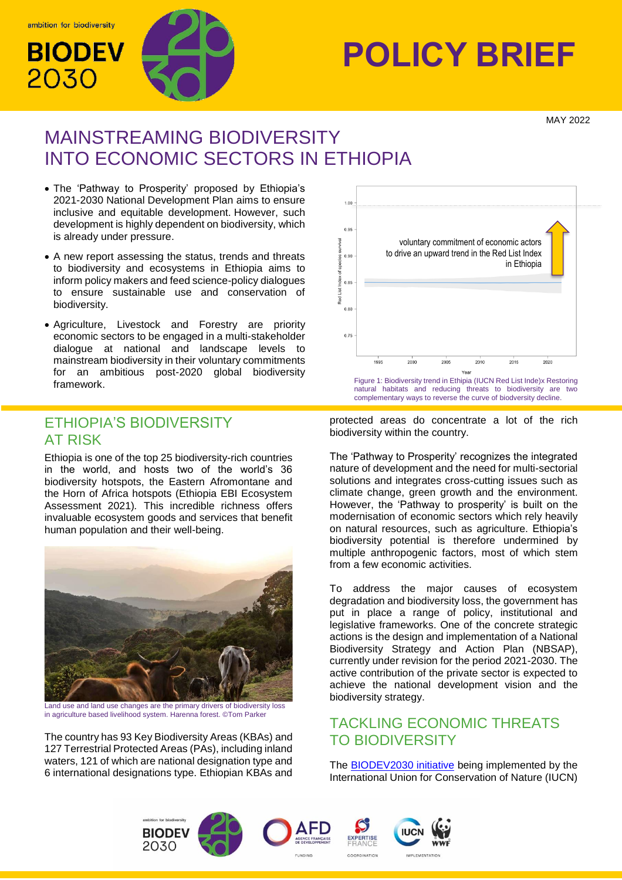

# **POLICY BRIEF**<br>2030 **RAY**

MAY 2022

# MAINSTREAMING BIODIVERSITY INTO ECONOMIC SECTORS IN ETHIOPIA

- The 'Pathway to Prosperity' proposed by Ethiopia's 2021-2030 National Development Plan aims to ensure inclusive and equitable development. However, such development is highly dependent on biodiversity, which is already under pressure.
- A new report assessing the status, trends and threats to biodiversity and ecosystems in Ethiopia aims to inform policy makers and feed science-policy dialogues to ensure sustainable use and conservation of biodiversity.
- Agriculture, Livestock and Forestry are priority economic sectors to be engaged in a multi-stakeholder dialogue at national and landscape levels to mainstream biodiversity in their voluntary commitments for an ambitious post-2020 global biodiversity

## ETHIOPIA'S BIODIVERSITY AT RISK

Ethiopia is one of the top 25 biodiversity-rich countries in the world, and hosts two of the world's 36 biodiversity hotspots, the Eastern Afromontane and the Horn of Africa hotspots (Ethiopia EBI Ecosystem Assessment 2021)*.* This incredible richness offers invaluable ecosystem goods and services that benefit human population and their well-being.



Land use and land use changes are the primary drivers of biodiversity loss in agriculture based livelihood system. Harenna forest. ©Tom Parker

The country has 93 Key Biodiversity Areas (KBAs) and 127 Terrestrial Protected Areas (PAs), including inland waters, 121 of which are national designation type and 6 international designations type. Ethiopian KBAs and



protected areas do concentrate a lot of the rich biodiversity within the country.

The 'Pathway to Prosperity' recognizes the integrated nature of development and the need for multi-sectorial solutions and integrates cross-cutting issues such as climate change, green growth and the environment. However, the 'Pathway to prosperity' is built on the modernisation of economic sectors which rely heavily on natural resources, such as agriculture. Ethiopia's biodiversity potential is therefore undermined by multiple anthropogenic factors, most of which stem from a few economic activities.

To address the major causes of ecosystem degradation and biodiversity loss, the government has put in place a range of policy, institutional and legislative frameworks. One of the concrete strategic actions is the design and implementation of a National Biodiversity Strategy and Action Plan (NBSAP), currently under revision for the period 2021-2030. The active contribution of the private sector is expected to achieve the national development vision and the biodiversity strategy.

## TACKLING ECONOMIC THREATS TO BIODIVERSITY

The [BIODEV2030 initiative](https://www.biodev2030.org/) being implemented by the International Union for Conservation of Nature (IUCN)